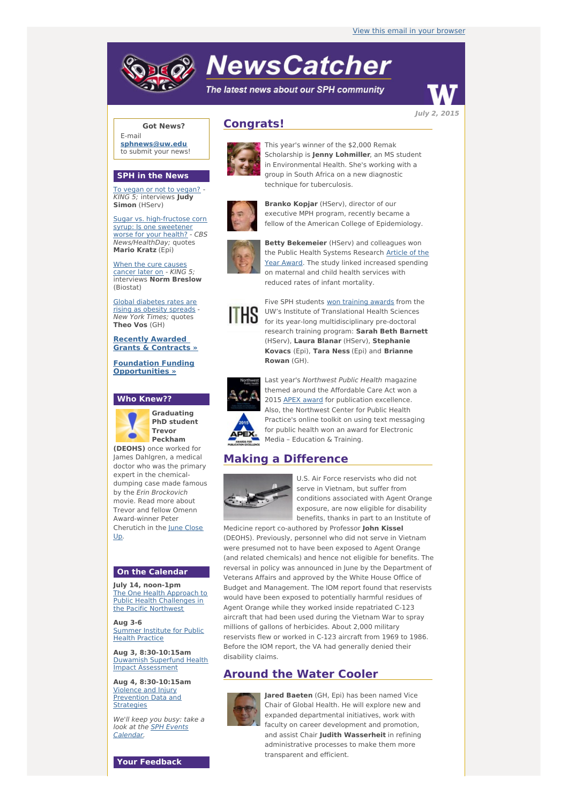# **NewsCatcher**

The latest news about our SPH community



**Got News?**

E-mail **[sphnews@uw.edu](mailto:sphnews@uw.edu)** to submit your news!

#### **SPH in the News**

To vegan or not to [vegan?](http://engage.washington.edu/site/R?i=57EUuJ7tshzzUQ59yAIbsQ) - KING 5; interviews **Judy Simon** (HServ)

Sugar vs. [high-fructose](http://engage.washington.edu/site/R?i=c0x6bMV3H_9SeX2os1GjPA) corn syrup: Is one sweetener worse for your health? - CBS News/HealthDay; quotes **Mario Kratz** (Epi)

When the cure [causes](http://engage.washington.edu/site/R?i=dvLnzkwpmL_aXQ8Lbfyjtg) cancer later on - KING 5; interviews **Norm Breslow** (Biostat)

Global [diabetes](http://engage.washington.edu/site/R?i=WSY12rLykTl6Tz1_gEmdTg) rates are rising as obesity spreads - New York Times; quotes **Theo Vos** (GH)

**Recently Awarded Grants & [Contracts](http://engage.washington.edu/site/R?i=qZQUrJlDs6p9ZKrT9H-iNw) »**

**Foundation Funding [Opportunities](http://engage.washington.edu/site/R?i=sAhZCQQ9Au4B_M5HDgJGjw) »**





**PhD student Trevor Peckham (DEOHS)** once worked for

James Dahlgren, a medical doctor who was the primary expert in the chemicaldumping case made famous by the Erin Brockovich movie. Read more about Trevor and fellow Omenn Award-winner Peter [Cherutich](http://engage.washington.edu/site/R?i=hZSS4wkN4lAHWByj3Psy-g) in the June Close Up.

#### **On the Calendar**

**July 14, noon-1pm** The One Health Approach to Public Health [Challenges](http://engage.washington.edu/site/R?i=0TWQpAEXd17KDCWiBEThBA) in the Pacific Northwest

**Aug 3-6** [Summer](http://engage.washington.edu/site/R?i=0nOUFPWjsqWx_A1E8bJ-VA) Institute for Public Health Practice

**Aug 3, 8:30-10:15am** Duwamish Superfund Health Impact [Assessment](http://engage.washington.edu/site/R?i=WbQSwjh2A-uvDrsrZxXvjw)

**Aug 4, 8:30-10:15am** Violence and Injury [Prevention](http://engage.washington.edu/site/R?i=IITJREO_qPxLiDso9a2jyg) Data and **Strategies** 

We'll keep you busy: take a look at the **SPH Events** [Calendar.](http://engage.washington.edu/site/R?i=Vnqmdyja_j4qU43LlTXO0A)

**Your Feedback**

## **Congrats!**



This year's winner of the \$2,000 Remak Scholarship is **Jenny Lohmiller**, an MS student in Environmental Health. She's working with a group in South Africa on a new diagnostic technique for tuberculosis.



**Branko Kopjar** (HServ), director of our executive MPH program, recently became a fellow of the American College of Epidemiology.



**Betty Bekemeier** (HServ) and colleagues won the Public Health Systems [Research](http://engage.washington.edu/site/R?i=qOtjekDlTnoLci7zgHkbaw) **Article of the** Year Award. The study linked increased spending on maternal and child health services with reduced rates of infant mortality.



Five SPH students won [training](http://engage.washington.edu/site/R?i=EfvoQelf8N0gPENoHo8sKQ) awards from the UW's Institute of Translational Health Sciences for its year-long multidisciplinary pre-doctoral research training program: **Sarah Beth Barnett** (HServ), **Laura Blanar** (HServ), **Stephanie Kovacs** (Epi), **Tara Ness** (Epi) and **Brianne Rowan** (GH).



Last year's Northwest Public Health magazine themed around the Affordable Care Act won a 2015 APEX [award](http://engage.washington.edu/site/R?i=IR0pwjrn6MI0WzIVXJ9yww) for publication excellence. Also, the Northwest Center for Public Health Practice's online toolkit on using text messaging for public health won an award for Electronic Media – Education & Training.

## **Making a Difference**



U.S. Air Force reservists who did not serve in Vietnam, but suffer from conditions associated with Agent Orange exposure, are now eligible for disability benefits, thanks in part to an Institute of

Medicine report co-authored by Professor **John Kissel** (DEOHS). Previously, personnel who did not serve in Vietnam were presumed not to have been exposed to Agent Orange (and related chemicals) and hence not eligible for benefits. The reversal in policy was announced in June by the Department of Veterans Affairs and approved by the White House Office of Budget and Management. The IOM report found that reservists would have been exposed to potentially harmful residues of Agent Orange while they worked inside repatriated C-123 aircraft that had been used during the Vietnam War to spray millions of gallons of herbicides. About 2,000 military reservists flew or worked in C-123 aircraft from 1969 to 1986. Before the IOM report, the VA had generally denied their disability claims.

### **Around the Water Cooler**



**Jared Baeten** (GH, Epi) has been named Vice Chair of Global Health. He will explore new and expanded departmental initiatives, work with faculty on career development and promotion, and assist Chair **Judith Wasserheit** in refining administrative processes to make them more transparent and efficient.